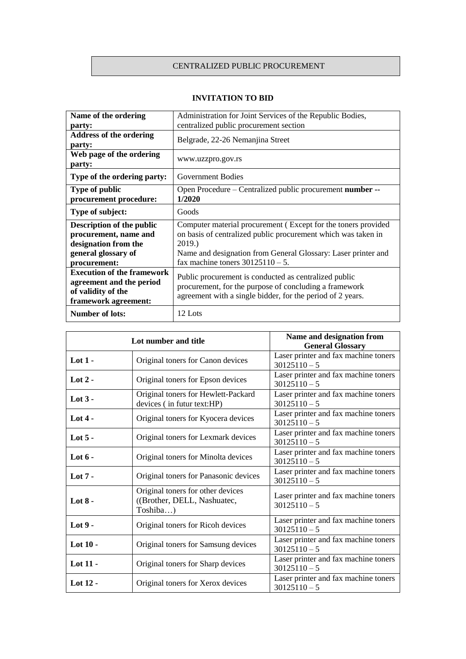## CENTRALIZED PUBLIC PROCUREMENT

| Name of the ordering<br>party:                                                                                    | Administration for Joint Services of the Republic Bodies,<br>centralized public procurement section                                                                                                                                              |  |
|-------------------------------------------------------------------------------------------------------------------|--------------------------------------------------------------------------------------------------------------------------------------------------------------------------------------------------------------------------------------------------|--|
| <b>Address of the ordering</b><br>party:                                                                          | Belgrade, 22-26 Nemanjina Street                                                                                                                                                                                                                 |  |
| Web page of the ordering<br>party:                                                                                | www.uzzpro.gov.rs                                                                                                                                                                                                                                |  |
| Type of the ordering party:                                                                                       | <b>Government Bodies</b>                                                                                                                                                                                                                         |  |
| <b>Type of public</b><br>procurement procedure:                                                                   | Open Procedure – Centralized public procurement number --<br>1/2020                                                                                                                                                                              |  |
| Type of subject:                                                                                                  | Goods                                                                                                                                                                                                                                            |  |
| Description of the public<br>procurement, name and<br>designation from the<br>general glossary of<br>procurement: | Computer material procurement (Except for the toners provided<br>on basis of centralized public procurement which was taken in<br>2019.)<br>Name and designation from General Glossary: Laser printer and<br>fax machine toners $30125110 - 5$ . |  |
| <b>Execution of the framework</b><br>agreement and the period<br>of validity of the<br>framework agreement:       | Public procurement is conducted as centralized public<br>procurement, for the purpose of concluding a framework<br>agreement with a single bidder, for the period of 2 years.                                                                    |  |
| <b>Number of lots:</b>                                                                                            | 12 Lots                                                                                                                                                                                                                                          |  |

## **INVITATION TO BID**

| Lot number and title |                                                                              | Name and designation from<br><b>General Glossary</b>   |
|----------------------|------------------------------------------------------------------------------|--------------------------------------------------------|
| Lot $1 -$            | Original toners for Canon devices                                            | Laser printer and fax machine toners<br>$30125110 - 5$ |
| Lot $2 -$            | Original toners for Epson devices                                            | Laser printer and fax machine toners<br>$30125110 - 5$ |
| Lot $3 -$            | Original toners for Hewlett-Packard<br>devices (in futur text:HP)            | Laser printer and fax machine toners<br>$30125110 - 5$ |
| Lot $4-$             | Original toners for Kyocera devices                                          | Laser printer and fax machine toners<br>$30125110 - 5$ |
| Lot $5 -$            | Original toners for Lexmark devices                                          | Laser printer and fax machine toners<br>$30125110 - 5$ |
| Lot $6 -$            | Original toners for Minolta devices                                          | Laser printer and fax machine toners<br>$30125110 - 5$ |
| Lot $7 -$            | Original toners for Panasonic devices                                        | Laser printer and fax machine toners<br>$30125110 - 5$ |
| Lot $8-$             | Original toners for other devices<br>((Brother, DELL, Nashuatec,<br>Toshiba) | Laser printer and fax machine toners<br>$30125110 - 5$ |
| Lot $9-$             | Original toners for Ricoh devices                                            | Laser printer and fax machine toners<br>$30125110 - 5$ |
| Lot $10 -$           | Original toners for Samsung devices                                          | Laser printer and fax machine toners<br>$30125110 - 5$ |
| Lot 11 -             | Original toners for Sharp devices                                            | Laser printer and fax machine toners<br>$30125110 - 5$ |
| Lot $12 -$           | Original toners for Xerox devices                                            | Laser printer and fax machine toners<br>$30125110 - 5$ |